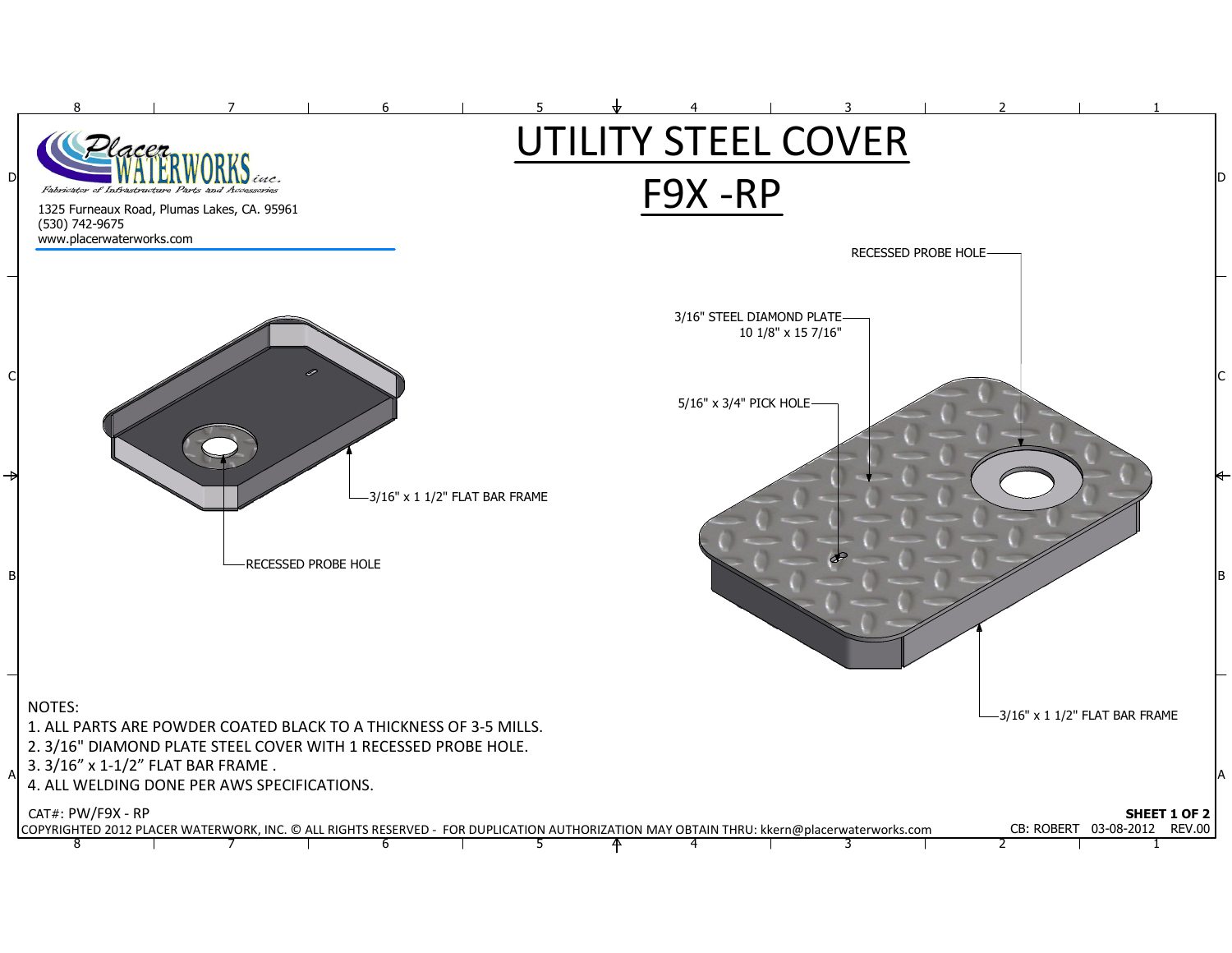